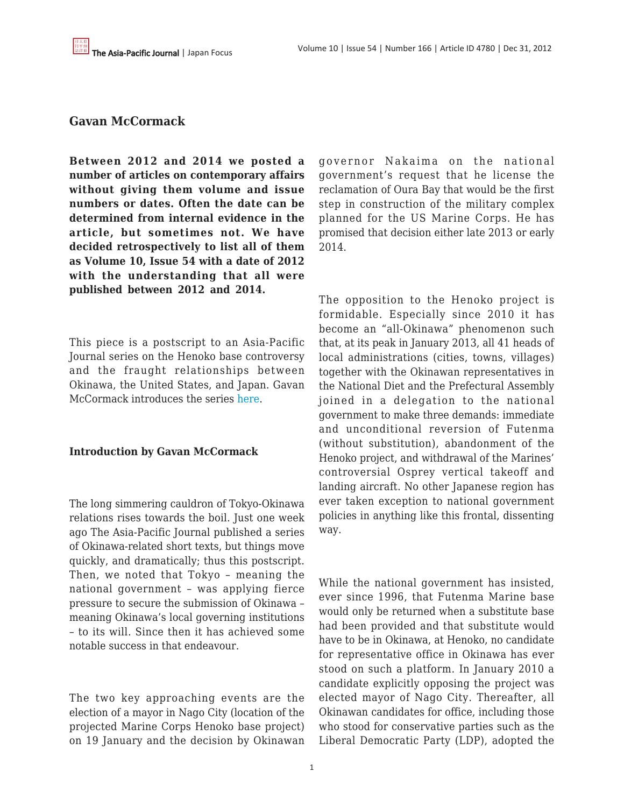## **Gavan McCormack**

**Between 2012 and 2014 we posted a number of articles on contemporary affairs without giving them volume and issue numbers or dates. Often the date can be determined from internal evidence in the article, but sometimes not. We have decided retrospectively to list all of them as Volume 10, Issue 54 with a date of 2012 with the understanding that all were published between 2012 and 2014.**

This piece is a postscript to an Asia-Pacific Journal series on the Henoko base controversy and the fraught relationships between Okinawa, the United States, and Japan. Gavan McCormack introduces the series [here.](https://apjjf.org/-Gavan-McCormack/4034)

#### **Introduction by Gavan McCormack**

The long simmering cauldron of Tokyo-Okinawa relations rises towards the boil. Just one week ago The Asia-Pacific Journal published a series of Okinawa-related short texts, but things move quickly, and dramatically; thus this postscript. Then, we noted that Tokyo – meaning the national government – was applying fierce pressure to secure the submission of Okinawa – meaning Okinawa's local governing institutions – to its will. Since then it has achieved some notable success in that endeavour.

The two key approaching events are the election of a mayor in Nago City (location of the projected Marine Corps Henoko base project) on 19 January and the decision by Okinawan governor Nakaima on the national government's request that he license the reclamation of Oura Bay that would be the first step in construction of the military complex planned for the US Marine Corps. He has promised that decision either late 2013 or early 2014.

The opposition to the Henoko project is formidable. Especially since 2010 it has become an "all-Okinawa" phenomenon such that, at its peak in January 2013, all 41 heads of local administrations (cities, towns, villages) together with the Okinawan representatives in the National Diet and the Prefectural Assembly joined in a delegation to the national government to make three demands: immediate and unconditional reversion of Futenma (without substitution), abandonment of the Henoko project, and withdrawal of the Marines' controversial Osprey vertical takeoff and landing aircraft. No other Japanese region has ever taken exception to national government policies in anything like this frontal, dissenting way.

While the national government has insisted, ever since 1996, that Futenma Marine base would only be returned when a substitute base had been provided and that substitute would have to be in Okinawa, at Henoko, no candidate for representative office in Okinawa has ever stood on such a platform. In January 2010 a candidate explicitly opposing the project was elected mayor of Nago City. Thereafter, all Okinawan candidates for office, including those who stood for conservative parties such as the Liberal Democratic Party (LDP), adopted the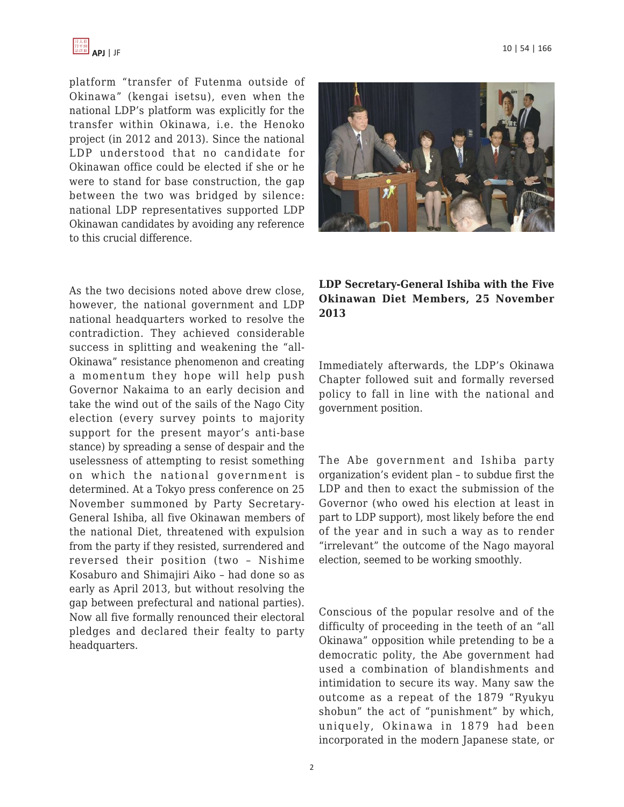

platform "transfer of Futenma outside of Okinawa" (kengai isetsu), even when the national LDP's platform was explicitly for the transfer within Okinawa, i.e. the Henoko project (in 2012 and 2013). Since the national LDP understood that no candidate for Okinawan office could be elected if she or he were to stand for base construction, the gap between the two was bridged by silence: national LDP representatives supported LDP Okinawan candidates by avoiding any reference to this crucial difference.

As the two decisions noted above drew close, however, the national government and LDP national headquarters worked to resolve the contradiction. They achieved considerable success in splitting and weakening the "all-Okinawa" resistance phenomenon and creating a momentum they hope will help push Governor Nakaima to an early decision and take the wind out of the sails of the Nago City election (every survey points to majority support for the present mayor's anti-base stance) by spreading a sense of despair and the uselessness of attempting to resist something on which the national government is determined. At a Tokyo press conference on 25 November summoned by Party Secretary-General Ishiba, all five Okinawan members of the national Diet, threatened with expulsion from the party if they resisted, surrendered and reversed their position (two – Nishime Kosaburo and Shimajiri Aiko – had done so as early as April 2013, but without resolving the gap between prefectural and national parties). Now all five formally renounced their electoral pledges and declared their fealty to party headquarters.

### **LDP Secretary-General Ishiba with the Five Okinawan Diet Members, 25 November 2013**

Immediately afterwards, the LDP's Okinawa Chapter followed suit and formally reversed policy to fall in line with the national and government position.

The Abe government and Ishiba party organization's evident plan – to subdue first the LDP and then to exact the submission of the Governor (who owed his election at least in part to LDP support), most likely before the end of the year and in such a way as to render "irrelevant" the outcome of the Nago mayoral election, seemed to be working smoothly.

Conscious of the popular resolve and of the difficulty of proceeding in the teeth of an "all Okinawa" opposition while pretending to be a democratic polity, the Abe government had used a combination of blandishments and intimidation to secure its way. Many saw the outcome as a repeat of the 1879 "Ryukyu shobun" the act of "punishment" by which, uniquely, Okinawa in 1879 had been incorporated in the modern Japanese state, or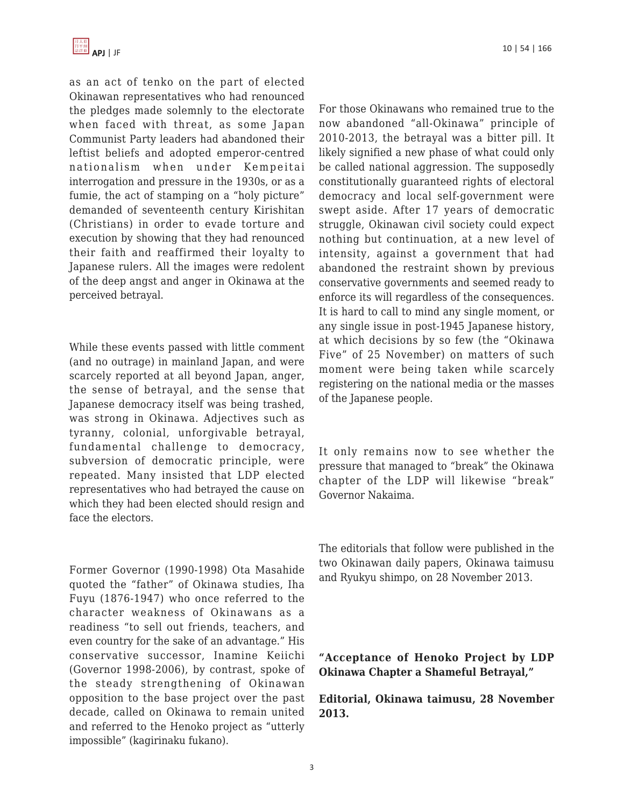

as an act of tenko on the part of elected Okinawan representatives who had renounced the pledges made solemnly to the electorate when faced with threat, as some Japan Communist Party leaders had abandoned their leftist beliefs and adopted emperor-centred nationalism when under Kempeitai interrogation and pressure in the 1930s, or as a fumie, the act of stamping on a "holy picture" demanded of seventeenth century Kirishitan (Christians) in order to evade torture and execution by showing that they had renounced their faith and reaffirmed their loyalty to Japanese rulers. All the images were redolent of the deep angst and anger in Okinawa at the perceived betrayal.

While these events passed with little comment (and no outrage) in mainland Japan, and were scarcely reported at all beyond Japan, anger, the sense of betrayal, and the sense that Japanese democracy itself was being trashed, was strong in Okinawa. Adjectives such as tyranny, colonial, unforgivable betrayal, fundamental challenge to democracy, subversion of democratic principle, were repeated. Many insisted that LDP elected representatives who had betrayed the cause on which they had been elected should resign and face the electors.

Former Governor (1990-1998) Ota Masahide quoted the "father" of Okinawa studies, Iha Fuyu (1876-1947) who once referred to the character weakness of Okinawans as a readiness "to sell out friends, teachers, and even country for the sake of an advantage." His conservative successor, Inamine Keiichi (Governor 1998-2006), by contrast, spoke of the steady strengthening of Okinawan opposition to the base project over the past decade, called on Okinawa to remain united and referred to the Henoko project as "utterly impossible" (kagirinaku fukano).

For those Okinawans who remained true to the now abandoned "all-Okinawa" principle of 2010-2013, the betrayal was a bitter pill. It likely signified a new phase of what could only be called national aggression. The supposedly constitutionally guaranteed rights of electoral democracy and local self-government were swept aside. After 17 years of democratic struggle, Okinawan civil society could expect nothing but continuation, at a new level of intensity, against a government that had abandoned the restraint shown by previous conservative governments and seemed ready to enforce its will regardless of the consequences. It is hard to call to mind any single moment, or any single issue in post-1945 Japanese history, at which decisions by so few (the "Okinawa Five" of 25 November) on matters of such moment were being taken while scarcely registering on the national media or the masses of the Japanese people.

It only remains now to see whether the pressure that managed to "break" the Okinawa chapter of the LDP will likewise "break" Governor Nakaima.

The editorials that follow were published in the two Okinawan daily papers, Okinawa taimusu and Ryukyu shimpo, on 28 November 2013.

**"Acceptance of Henoko Project by LDP Okinawa Chapter a Shameful Betrayal,"**

**Editorial, Okinawa taimusu, 28 November 2013.**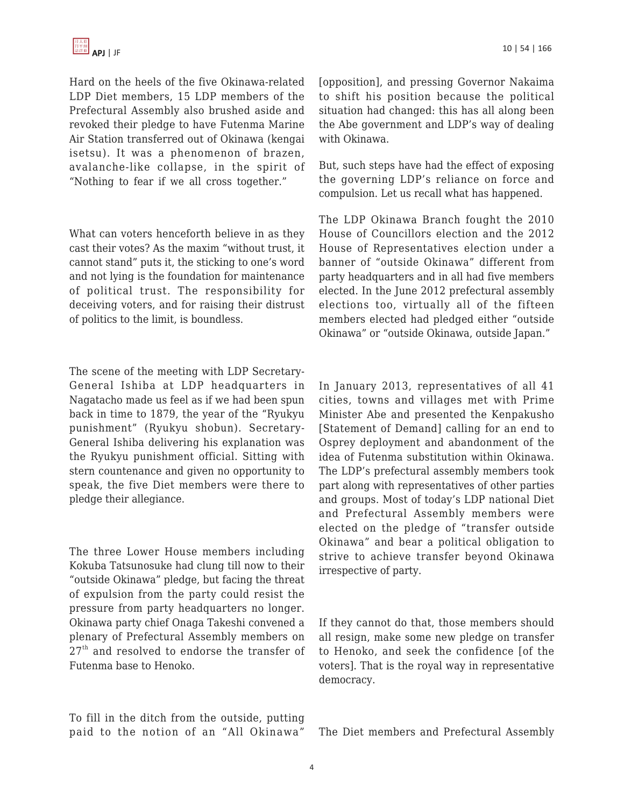Hard on the heels of the five Okinawa-related LDP Diet members, 15 LDP members of the Prefectural Assembly also brushed aside and revoked their pledge to have Futenma Marine Air Station transferred out of Okinawa (kengai isetsu). It was a phenomenon of brazen, avalanche-like collapse, in the spirit of "Nothing to fear if we all cross together."

What can voters henceforth believe in as they cast their votes? As the maxim "without trust, it cannot stand" puts it, the sticking to one's word and not lying is the foundation for maintenance of political trust. The responsibility for deceiving voters, and for raising their distrust of politics to the limit, is boundless.

The scene of the meeting with LDP Secretary-General Ishiba at LDP headquarters in Nagatacho made us feel as if we had been spun back in time to 1879, the year of the "Ryukyu punishment" (Ryukyu shobun). Secretary-General Ishiba delivering his explanation was the Ryukyu punishment official. Sitting with stern countenance and given no opportunity to speak, the five Diet members were there to pledge their allegiance.

The three Lower House members including Kokuba Tatsunosuke had clung till now to their "outside Okinawa" pledge, but facing the threat of expulsion from the party could resist the pressure from party headquarters no longer. Okinawa party chief Onaga Takeshi convened a plenary of Prefectural Assembly members on  $27<sup>th</sup>$  and resolved to endorse the transfer of Futenma base to Henoko.

To fill in the ditch from the outside, putting paid to the notion of an "All Okinawa" [opposition], and pressing Governor Nakaima to shift his position because the political situation had changed: this has all along been the Abe government and LDP's way of dealing with Okinawa.

But, such steps have had the effect of exposing the governing LDP's reliance on force and compulsion. Let us recall what has happened.

The LDP Okinawa Branch fought the 2010 House of Councillors election and the 2012 House of Representatives election under a banner of "outside Okinawa" different from party headquarters and in all had five members elected. In the June 2012 prefectural assembly elections too, virtually all of the fifteen members elected had pledged either "outside Okinawa" or "outside Okinawa, outside Japan."

In January 2013, representatives of all 41 cities, towns and villages met with Prime Minister Abe and presented the Kenpakusho [Statement of Demand] calling for an end to Osprey deployment and abandonment of the idea of Futenma substitution within Okinawa. The LDP's prefectural assembly members took part along with representatives of other parties and groups. Most of today's LDP national Diet and Prefectural Assembly members were elected on the pledge of "transfer outside Okinawa" and bear a political obligation to strive to achieve transfer beyond Okinawa irrespective of party.

If they cannot do that, those members should all resign, make some new pledge on transfer to Henoko, and seek the confidence [of the voters]. That is the royal way in representative democracy.

The Diet members and Prefectural Assembly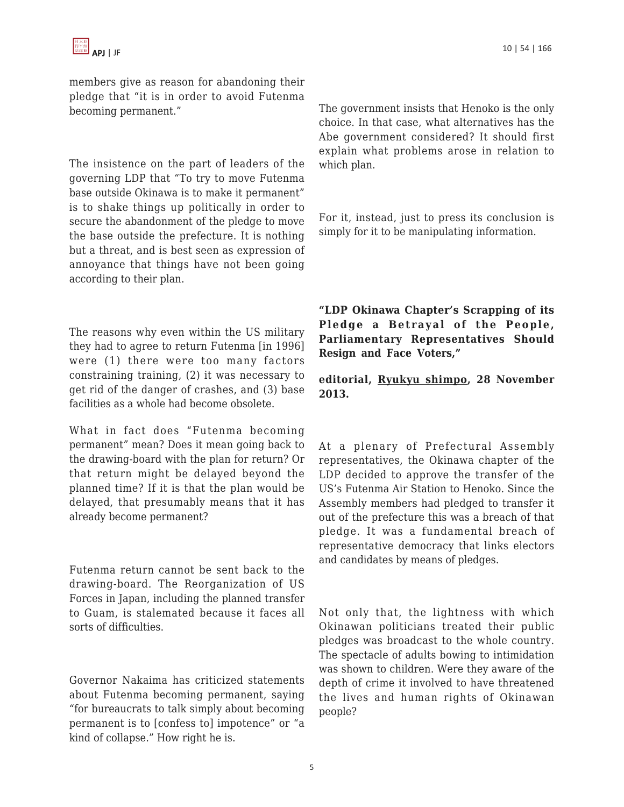members give as reason for abandoning their pledge that "it is in order to avoid Futenma becoming permanent."

The insistence on the part of leaders of the governing LDP that "To try to move Futenma base outside Okinawa is to make it permanent" is to shake things up politically in order to secure the abandonment of the pledge to move the base outside the prefecture. It is nothing but a threat, and is best seen as expression of annoyance that things have not been going according to their plan.

The reasons why even within the US military they had to agree to return Futenma [in 1996] were (1) there were too many factors constraining training, (2) it was necessary to get rid of the danger of crashes, and (3) base facilities as a whole had become obsolete.

What in fact does "Futenma becoming permanent" mean? Does it mean going back to the drawing-board with the plan for return? Or that return might be delayed beyond the planned time? If it is that the plan would be delayed, that presumably means that it has already become permanent?

Futenma return cannot be sent back to the drawing-board. The Reorganization of US Forces in Japan, including the planned transfer to Guam, is stalemated because it faces all sorts of difficulties.

Governor Nakaima has criticized statements about Futenma becoming permanent, saying "for bureaucrats to talk simply about becoming permanent is to [confess to] impotence" or "a kind of collapse." How right he is.

The government insists that Henoko is the only choice. In that case, what alternatives has the Abe government considered? It should first explain what problems arose in relation to which plan.

For it, instead, just to press its conclusion is simply for it to be manipulating information.

**"LDP Okinawa Chapter's Scrapping of its Pledge a Betrayal of the People, Parliamentary Representatives Should Resign and Face Voters,"**

**editorial, Ryukyu shimpo, 28 November 2013.**

At a plenary of Prefectural Assembly representatives, the Okinawa chapter of the LDP decided to approve the transfer of the US's Futenma Air Station to Henoko. Since the Assembly members had pledged to transfer it out of the prefecture this was a breach of that pledge. It was a fundamental breach of representative democracy that links electors and candidates by means of pledges.

Not only that, the lightness with which Okinawan politicians treated their public pledges was broadcast to the whole country. The spectacle of adults bowing to intimidation was shown to children. Were they aware of the depth of crime it involved to have threatened the lives and human rights of Okinawan people?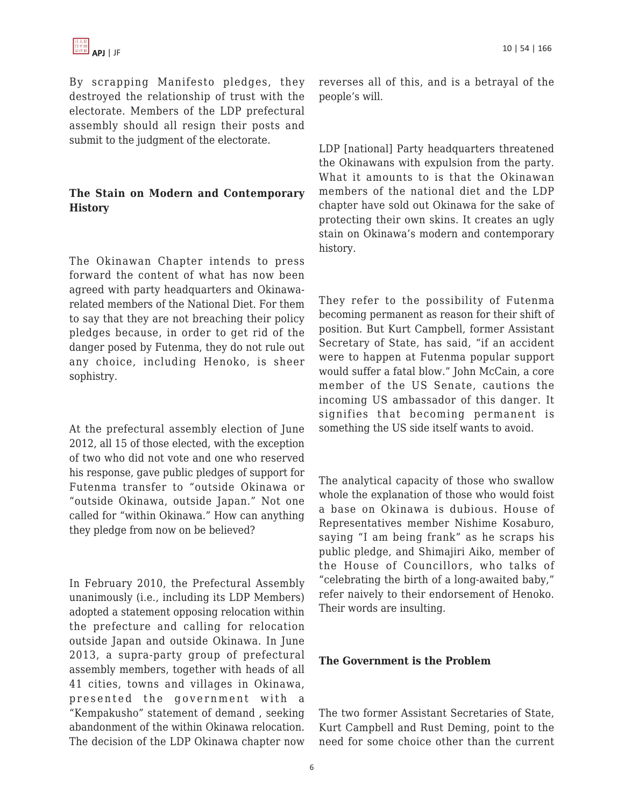By scrapping Manifesto pledges, they destroyed the relationship of trust with the electorate. Members of the LDP prefectural assembly should all resign their posts and submit to the judgment of the electorate.

# **The Stain on Modern and Contemporary History**

The Okinawan Chapter intends to press forward the content of what has now been agreed with party headquarters and Okinawarelated members of the National Diet. For them to say that they are not breaching their policy pledges because, in order to get rid of the danger posed by Futenma, they do not rule out any choice, including Henoko, is sheer sophistry.

At the prefectural assembly election of June 2012, all 15 of those elected, with the exception of two who did not vote and one who reserved his response, gave public pledges of support for Futenma transfer to "outside Okinawa or "outside Okinawa, outside Japan." Not one called for "within Okinawa." How can anything they pledge from now on be believed?

In February 2010, the Prefectural Assembly unanimously (i.e., including its LDP Members) adopted a statement opposing relocation within the prefecture and calling for relocation outside Japan and outside Okinawa. In June 2013, a supra-party group of prefectural assembly members, together with heads of all 41 cities, towns and villages in Okinawa, presented the government with a "Kempakusho" statement of demand , seeking abandonment of the within Okinawa relocation. The decision of the LDP Okinawa chapter now reverses all of this, and is a betrayal of the people's will.

LDP [national] Party headquarters threatened the Okinawans with expulsion from the party. What it amounts to is that the Okinawan members of the national diet and the LDP chapter have sold out Okinawa for the sake of protecting their own skins. It creates an ugly stain on Okinawa's modern and contemporary history.

They refer to the possibility of Futenma becoming permanent as reason for their shift of position. But Kurt Campbell, former Assistant Secretary of State, has said, "if an accident were to happen at Futenma popular support would suffer a fatal blow." John McCain, a core member of the US Senate, cautions the incoming US ambassador of this danger. It signifies that becoming permanent is something the US side itself wants to avoid.

The analytical capacity of those who swallow whole the explanation of those who would foist a base on Okinawa is dubious. House of Representatives member Nishime Kosaburo, saying "I am being frank" as he scraps his public pledge, and Shimajiri Aiko, member of the House of Councillors, who talks of "celebrating the birth of a long-awaited baby," refer naively to their endorsement of Henoko. Their words are insulting.

#### **The Government is the Problem**

The two former Assistant Secretaries of State, Kurt Campbell and Rust Deming, point to the need for some choice other than the current